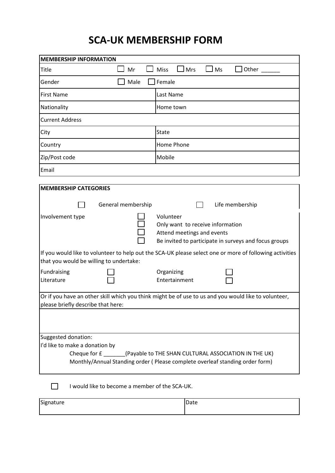## **SCA-UK MEMBERSHIP FORM**

| $\Box$ Mrs<br><b>Miss</b><br>Title<br>Mr<br>$\sqcup$ Ms<br>Other<br>Male<br>Female<br>Gender<br><b>First Name</b><br>Last Name<br>Nationality<br>Home town<br><b>Current Address</b><br>State<br>City<br>Home Phone<br>Country<br>Mobile<br>Zip/Post code<br>Email<br><b>MEMBERSHIP CATEGORIES</b><br>Life membership<br>General membership<br>Volunteer<br>Involvement type<br>Only want to receive information<br>Attend meetings and events |  |  |  |  |  |
|------------------------------------------------------------------------------------------------------------------------------------------------------------------------------------------------------------------------------------------------------------------------------------------------------------------------------------------------------------------------------------------------------------------------------------------------|--|--|--|--|--|
|                                                                                                                                                                                                                                                                                                                                                                                                                                                |  |  |  |  |  |
|                                                                                                                                                                                                                                                                                                                                                                                                                                                |  |  |  |  |  |
|                                                                                                                                                                                                                                                                                                                                                                                                                                                |  |  |  |  |  |
|                                                                                                                                                                                                                                                                                                                                                                                                                                                |  |  |  |  |  |
|                                                                                                                                                                                                                                                                                                                                                                                                                                                |  |  |  |  |  |
|                                                                                                                                                                                                                                                                                                                                                                                                                                                |  |  |  |  |  |
|                                                                                                                                                                                                                                                                                                                                                                                                                                                |  |  |  |  |  |
|                                                                                                                                                                                                                                                                                                                                                                                                                                                |  |  |  |  |  |
|                                                                                                                                                                                                                                                                                                                                                                                                                                                |  |  |  |  |  |
|                                                                                                                                                                                                                                                                                                                                                                                                                                                |  |  |  |  |  |
|                                                                                                                                                                                                                                                                                                                                                                                                                                                |  |  |  |  |  |
| Be invited to participate in surveys and focus groups                                                                                                                                                                                                                                                                                                                                                                                          |  |  |  |  |  |
| If you would like to volunteer to help out the SCA-UK please select one or more of following activities<br>that you would be willing to undertake:                                                                                                                                                                                                                                                                                             |  |  |  |  |  |
| Fundraising<br>Organizing<br>Literature<br>Entertainment                                                                                                                                                                                                                                                                                                                                                                                       |  |  |  |  |  |
| Or if you have an other skill which you think might be of use to us and you would like to volunteer,<br>please briefly describe that here:                                                                                                                                                                                                                                                                                                     |  |  |  |  |  |
|                                                                                                                                                                                                                                                                                                                                                                                                                                                |  |  |  |  |  |
| Suggested donation:<br>I'd like to make a donation by<br>Cheque for £ _________(Payable to THE SHAN CULTURAL ASSOCIATION IN THE UK)<br>Monthly/Annual Standing order (Please complete overleaf standing order form)                                                                                                                                                                                                                            |  |  |  |  |  |
| I would like to become a member of the SCA-UK.                                                                                                                                                                                                                                                                                                                                                                                                 |  |  |  |  |  |
| Signature<br>Date                                                                                                                                                                                                                                                                                                                                                                                                                              |  |  |  |  |  |